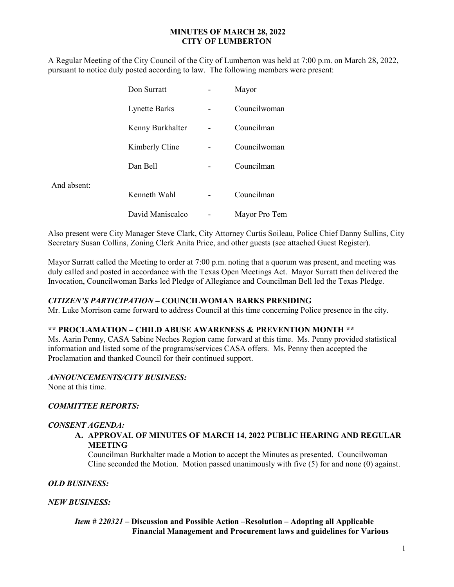## MINUTES OF MARCH 28, 2022 CITY OF LUMBERTON

A Regular Meeting of the City Council of the City of Lumberton was held at 7:00 p.m. on March 28, 2022, pursuant to notice duly posted according to law. The following members were present:

|             | Don Surratt          | Mayor         |
|-------------|----------------------|---------------|
|             | <b>Lynette Barks</b> | Councilwoman  |
|             | Kenny Burkhalter     | Councilman    |
|             | Kimberly Cline       | Councilwoman  |
|             | Dan Bell             | Councilman    |
| And absent: |                      |               |
|             | Kenneth Wahl         | Councilman    |
|             | David Maniscalco     | Mayor Pro Tem |

Also present were City Manager Steve Clark, City Attorney Curtis Soileau, Police Chief Danny Sullins, City Secretary Susan Collins, Zoning Clerk Anita Price, and other guests (see attached Guest Register).

Mayor Surratt called the Meeting to order at 7:00 p.m. noting that a quorum was present, and meeting was duly called and posted in accordance with the Texas Open Meetings Act. Mayor Surratt then delivered the Invocation, Councilwoman Barks led Pledge of Allegiance and Councilman Bell led the Texas Pledge.

## CITIZEN'S PARTICIPATION – COUNCILWOMAN BARKS PRESIDING

Mr. Luke Morrison came forward to address Council at this time concerning Police presence in the city.

#### \*\* PROCLAMATION – CHILD ABUSE AWARENESS & PREVENTION MONTH \*\*

Ms. Aarin Penny, CASA Sabine Neches Region came forward at this time. Ms. Penny provided statistical information and listed some of the programs/services CASA offers. Ms. Penny then accepted the Proclamation and thanked Council for their continued support.

#### ANNOUNCEMENTS/CITY BUSINESS:

None at this time.

## COMMITTEE REPORTS:

# CONSENT AGENDA:

#### A. APPROVAL OF MINUTES OF MARCH 14, 2022 PUBLIC HEARING AND REGULAR MEETING

Councilman Burkhalter made a Motion to accept the Minutes as presented. Councilwoman Cline seconded the Motion. Motion passed unanimously with five (5) for and none (0) against.

#### OLD BUSINESS:

#### NEW BUSINESS:

# Item # 220321 – Discussion and Possible Action –Resolution – Adopting all Applicable Financial Management and Procurement laws and guidelines for Various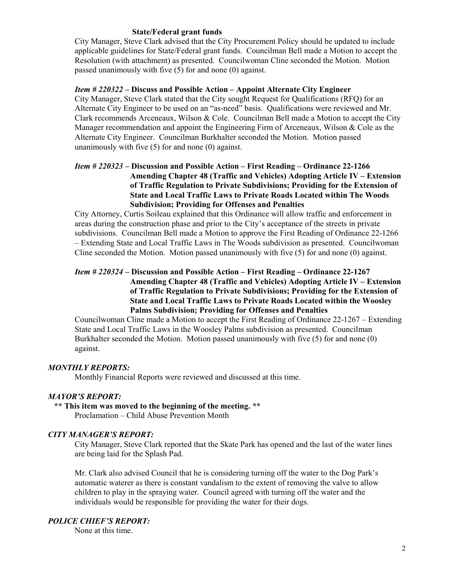#### State/Federal grant funds

 City Manager, Steve Clark advised that the City Procurement Policy should be updated to include applicable guidelines for State/Federal grant funds. Councilman Bell made a Motion to accept the Resolution (with attachment) as presented. Councilwoman Cline seconded the Motion. Motion passed unanimously with five (5) for and none (0) against.

## Item # 220322 – Discuss and Possible Action – Appoint Alternate City Engineer

City Manager, Steve Clark stated that the City sought Request for Qualifications (RFQ) for an Alternate City Engineer to be used on an "as-need" basis. Qualifications were reviewed and Mr. Clark recommends Arceneaux, Wilson & Cole. Councilman Bell made a Motion to accept the City Manager recommendation and appoint the Engineering Firm of Arceneaux, Wilson & Cole as the Alternate City Engineer. Councilman Burkhalter seconded the Motion. Motion passed unanimously with five (5) for and none (0) against.

# Item # 220323 – Discussion and Possible Action – First Reading – Ordinance 22-1266 Amending Chapter 48 (Traffic and Vehicles) Adopting Article IV – Extension of Traffic Regulation to Private Subdivisions; Providing for the Extension of State and Local Traffic Laws to Private Roads Located within The Woods Subdivision; Providing for Offenses and Penalties

City Attorney, Curtis Soileau explained that this Ordinance will allow traffic and enforcement in areas during the construction phase and prior to the City's acceptance of the streets in private subdivisions. Councilman Bell made a Motion to approve the First Reading of Ordinance 22-1266 – Extending State and Local Traffic Laws in The Woods subdivision as presented. Councilwoman Cline seconded the Motion. Motion passed unanimously with five (5) for and none (0) against.

# Item # 220324 – Discussion and Possible Action – First Reading – Ordinance 22-1267 Amending Chapter 48 (Traffic and Vehicles) Adopting Article IV – Extension of Traffic Regulation to Private Subdivisions; Providing for the Extension of State and Local Traffic Laws to Private Roads Located within the Woosley Palms Subdivision; Providing for Offenses and Penalties

Councilwoman Cline made a Motion to accept the First Reading of Ordinance 22-1267 – Extending State and Local Traffic Laws in the Woosley Palms subdivision as presented. Councilman Burkhalter seconded the Motion. Motion passed unanimously with five (5) for and none (0) against.

## MONTHLY REPORTS:

Monthly Financial Reports were reviewed and discussed at this time.

## MAYOR'S REPORT:

 \*\* This item was moved to the beginning of the meeting. \*\* Proclamation – Child Abuse Prevention Month

## CITY MANAGER'S REPORT:

City Manager, Steve Clark reported that the Skate Park has opened and the last of the water lines are being laid for the Splash Pad.

Mr. Clark also advised Council that he is considering turning off the water to the Dog Park's automatic waterer as there is constant vandalism to the extent of removing the valve to allow children to play in the spraying water. Council agreed with turning off the water and the individuals would be responsible for providing the water for their dogs.

## POLICE CHIEF'S REPORT:

None at this time.